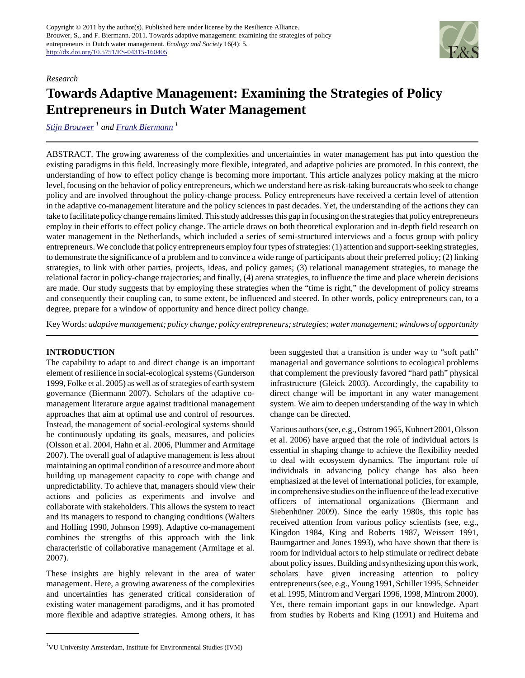

# *Research*

# **Towards Adaptive Management: Examining the Strategies of Policy Entrepreneurs in Dutch Water Management**

*[Stijn Brouwer](mailto:stijn.brouwer@ivm.vu.nl) 1 and [Frank Biermann](mailto:frank.biermann@ivm.vu.nl)<sup>1</sup>*

ABSTRACT. The growing awareness of the complexities and uncertainties in water management has put into question the existing paradigms in this field. Increasingly more flexible, integrated, and adaptive policies are promoted. In this context, the understanding of how to effect policy change is becoming more important. This article analyzes policy making at the micro level, focusing on the behavior of policy entrepreneurs, which we understand here as risk-taking bureaucrats who seek to change policy and are involved throughout the policy-change process. Policy entrepreneurs have received a certain level of attention in the adaptive co-management literature and the policy sciences in past decades. Yet, the understanding of the actions they can take to facilitate policy change remains limited. This study addresses this gap in focusing on the strategies that policy entrepreneurs employ in their efforts to effect policy change. The article draws on both theoretical exploration and in-depth field research on water management in the Netherlands, which included a series of semi-structured interviews and a focus group with policy entrepreneurs. We conclude that policy entrepreneurs employ four types of strategies: (1) attention and support-seeking strategies, to demonstrate the significance of a problem and to convince a wide range of participants about their preferred policy; (2) linking strategies, to link with other parties, projects, ideas, and policy games; (3) relational management strategies, to manage the relational factor in policy-change trajectories; and finally, (4) arena strategies, to influence the time and place wherein decisions are made. Our study suggests that by employing these strategies when the "time is right," the development of policy streams and consequently their coupling can, to some extent, be influenced and steered. In other words, policy entrepreneurs can, to a degree, prepare for a window of opportunity and hence direct policy change.

Key Words: *adaptive management; policy change; policy entrepreneurs; strategies; water management; windows of opportunity*

# **INTRODUCTION**

The capability to adapt to and direct change is an important element of resilience in social-ecological systems (Gunderson 1999, Folke et al. 2005) as well as of strategies of earth system governance (Biermann 2007). Scholars of the adaptive comanagement literature argue against traditional management approaches that aim at optimal use and control of resources. Instead, the management of social-ecological systems should be continuously updating its goals, measures, and policies (Olsson et al. 2004, Hahn et al. 2006, Plummer and Armitage 2007). The overall goal of adaptive management is less about maintaining an optimal condition of a resource and more about building up management capacity to cope with change and unpredictability. To achieve that, managers should view their actions and policies as experiments and involve and collaborate with stakeholders. This allows the system to react and its managers to respond to changing conditions (Walters and Holling 1990, Johnson 1999). Adaptive co-management combines the strengths of this approach with the link characteristic of collaborative management (Armitage et al. 2007).

These insights are highly relevant in the area of water management. Here, a growing awareness of the complexities and uncertainties has generated critical consideration of existing water management paradigms, and it has promoted more flexible and adaptive strategies. Among others, it has been suggested that a transition is under way to "soft path" managerial and governance solutions to ecological problems that complement the previously favored "hard path" physical infrastructure (Gleick 2003). Accordingly, the capability to direct change will be important in any water management system. We aim to deepen understanding of the way in which change can be directed.

Various authors (see, e.g., Ostrom 1965, Kuhnert 2001, Olsson et al. 2006) have argued that the role of individual actors is essential in shaping change to achieve the flexibility needed to deal with ecosystem dynamics. The important role of individuals in advancing policy change has also been emphasized at the level of international policies, for example, in comprehensive studies on the influence of the lead executive officers of international organizations (Biermann and Siebenhüner 2009). Since the early 1980s, this topic has received attention from various policy scientists (see, e.g., Kingdon 1984, King and Roberts 1987, Weissert 1991, Baumgartner and Jones 1993), who have shown that there is room for individual actors to help stimulate or redirect debate about policy issues. Building and synthesizing upon this work, scholars have given increasing attention to policy entrepreneurs (see, e.g., Young 1991, Schiller 1995, Schneider et al. 1995, Mintrom and Vergari 1996, 1998, Mintrom 2000). Yet, there remain important gaps in our knowledge. Apart from studies by Roberts and King (1991) and Huitema and

<sup>1</sup>VU University Amsterdam, Institute for Environmental Studies (IVM)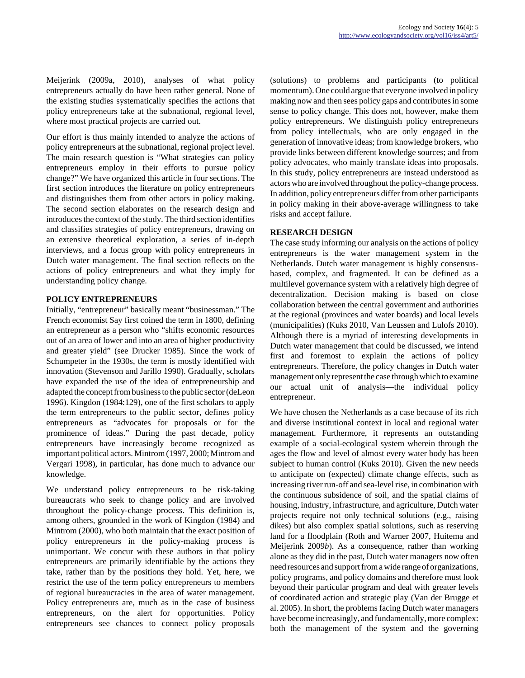Meijerink (2009a, 2010), analyses of what policy entrepreneurs actually do have been rather general. None of the existing studies systematically specifies the actions that policy entrepreneurs take at the subnational, regional level, where most practical projects are carried out.

Our effort is thus mainly intended to analyze the actions of policy entrepreneurs at the subnational, regional project level. The main research question is "What strategies can policy entrepreneurs employ in their efforts to pursue policy change?" We have organized this article in four sections. The first section introduces the literature on policy entrepreneurs and distinguishes them from other actors in policy making. The second section elaborates on the research design and introduces the context of the study. The third section identifies and classifies strategies of policy entrepreneurs, drawing on an extensive theoretical exploration, a series of in-depth interviews, and a focus group with policy entrepreneurs in Dutch water management. The final section reflects on the actions of policy entrepreneurs and what they imply for understanding policy change.

# **POLICY ENTREPRENEURS**

Initially, "entrepreneur" basically meant "businessman." The French economist Say first coined the term in 1800, defining an entrepreneur as a person who "shifts economic resources out of an area of lower and into an area of higher productivity and greater yield" (see Drucker 1985). Since the work of Schumpeter in the 1930s, the term is mostly identified with innovation (Stevenson and Jarillo 1990). Gradually, scholars have expanded the use of the idea of entrepreneurship and adapted the concept from business to the public sector (deLeon 1996). Kingdon (1984:129), one of the first scholars to apply the term entrepreneurs to the public sector, defines policy entrepreneurs as "advocates for proposals or for the prominence of ideas." During the past decade, policy entrepreneurs have increasingly become recognized as important political actors. Mintrom (1997, 2000; Mintrom and Vergari 1998), in particular, has done much to advance our knowledge.

We understand policy entrepreneurs to be risk-taking bureaucrats who seek to change policy and are involved throughout the policy-change process. This definition is, among others, grounded in the work of Kingdon (1984) and Mintrom (2000), who both maintain that the exact position of policy entrepreneurs in the policy-making process is unimportant. We concur with these authors in that policy entrepreneurs are primarily identifiable by the actions they take, rather than by the positions they hold. Yet, here, we restrict the use of the term policy entrepreneurs to members of regional bureaucracies in the area of water management. Policy entrepreneurs are, much as in the case of business entrepreneurs, on the alert for opportunities. Policy entrepreneurs see chances to connect policy proposals

(solutions) to problems and participants (to political momentum). One could argue that everyone involved in policy making now and then sees policy gaps and contributes in some sense to policy change. This does not, however, make them policy entrepreneurs. We distinguish policy entrepreneurs from policy intellectuals, who are only engaged in the generation of innovative ideas; from knowledge brokers, who provide links between different knowledge sources; and from policy advocates, who mainly translate ideas into proposals. In this study, policy entrepreneurs are instead understood as actors who are involved throughout the policy-change process. In addition, policy entrepreneurs differ from other participants in policy making in their above-average willingness to take risks and accept failure.

# **RESEARCH DESIGN**

The case study informing our analysis on the actions of policy entrepreneurs is the water management system in the Netherlands. Dutch water management is highly consensusbased, complex, and fragmented. It can be defined as a multilevel governance system with a relatively high degree of decentralization. Decision making is based on close collaboration between the central government and authorities at the regional (provinces and water boards) and local levels (municipalities) (Kuks 2010, Van Leussen and Lulofs 2010). Although there is a myriad of interesting developments in Dutch water management that could be discussed, we intend first and foremost to explain the actions of policy entrepreneurs. Therefore, the policy changes in Dutch water management only represent the case through which to examine our actual unit of analysis—the individual policy entrepreneur.

We have chosen the Netherlands as a case because of its rich and diverse institutional context in local and regional water management. Furthermore, it represents an outstanding example of a social-ecological system wherein through the ages the flow and level of almost every water body has been subject to human control (Kuks 2010). Given the new needs to anticipate on (expected) climate change effects, such as increasing river run-off and sea-level rise, in combination with the continuous subsidence of soil, and the spatial claims of housing, industry, infrastructure, and agriculture, Dutch water projects require not only technical solutions (e.g., raising dikes) but also complex spatial solutions, such as reserving land for a floodplain (Roth and Warner 2007, Huitema and Meijerink 2009*b*). As a consequence, rather than working alone as they did in the past, Dutch water managers now often need resources and support from a wide range of organizations, policy programs, and policy domains and therefore must look beyond their particular program and deal with greater levels of coordinated action and strategic play (Van der Brugge et al. 2005). In short, the problems facing Dutch water managers have become increasingly, and fundamentally, more complex: both the management of the system and the governing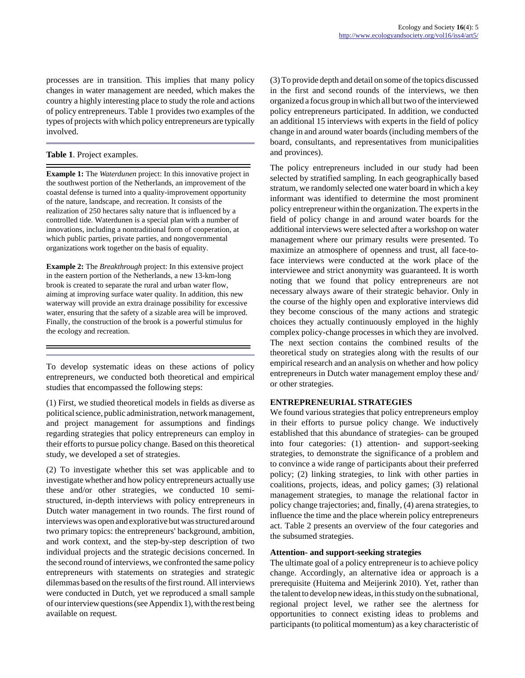processes are in transition. This implies that many policy changes in water management are needed, which makes the country a highly interesting place to study the role and actions of policy entrepreneurs. Table 1 provides two examples of the types of projects with which policy entrepreneurs are typically involved.

#### **Table 1**. Project examples.

**Example 1:** The *Waterdunen* project: In this innovative project in the southwest portion of the Netherlands, an improvement of the coastal defense is turned into a quality-improvement opportunity of the nature, landscape, and recreation. It consists of the realization of 250 hectares salty nature that is influenced by a controlled tide. Waterdunen is a special plan with a number of innovations, including a nontraditional form of cooperation, at which public parties, private parties, and nongovernmental organizations work together on the basis of equality.

**Example 2:** The *Breakthrough* project: In this extensive project in the eastern portion of the Netherlands, a new 13-km-long brook is created to separate the rural and urban water flow, aiming at improving surface water quality. In addition, this new waterway will provide an extra drainage possibility for excessive water, ensuring that the safety of a sizable area will be improved. Finally, the construction of the brook is a powerful stimulus for the ecology and recreation.

To develop systematic ideas on these actions of policy entrepreneurs, we conducted both theoretical and empirical studies that encompassed the following steps:

(1) First, we studied theoretical models in fields as diverse as political science, public administration, network management, and project management for assumptions and findings regarding strategies that policy entrepreneurs can employ in their efforts to pursue policy change. Based on this theoretical study, we developed a set of strategies.

(2) To investigate whether this set was applicable and to investigate whether and how policy entrepreneurs actually use these and/or other strategies, we conducted 10 semistructured, in-depth interviews with policy entrepreneurs in Dutch water management in two rounds. The first round of interviews was open and explorative but was structured around two primary topics: the entrepreneurs' background, ambition, and work context, and the step-by-step description of two individual projects and the strategic decisions concerned. In the second round of interviews, we confronted the same policy entrepreneurs with statements on strategies and strategic dilemmas based on the results of the first round. All interviews were conducted in Dutch, yet we reproduced a small sample of our interview questions (see Appendix 1), with the rest being available on request.

(3) To provide depth and detail on some of the topics discussed in the first and second rounds of the interviews, we then organized a focus group in which all but two of the interviewed policy entrepreneurs participated. In addition, we conducted an additional 15 interviews with experts in the field of policy change in and around water boards (including members of the board, consultants, and representatives from municipalities and provinces).

The policy entrepreneurs included in our study had been selected by stratified sampling. In each geographically based stratum, we randomly selected one water board in which a key informant was identified to determine the most prominent policy entrepreneur within the organization. The experts in the field of policy change in and around water boards for the additional interviews were selected after a workshop on water management where our primary results were presented. To maximize an atmosphere of openness and trust, all face-toface interviews were conducted at the work place of the interviewee and strict anonymity was guaranteed. It is worth noting that we found that policy entrepreneurs are not necessary always aware of their strategic behavior. Only in the course of the highly open and explorative interviews did they become conscious of the many actions and strategic choices they actually continuously employed in the highly complex policy-change processes in which they are involved. The next section contains the combined results of the theoretical study on strategies along with the results of our empirical research and an analysis on whether and how policy entrepreneurs in Dutch water management employ these and/ or other strategies.

# **ENTREPRENEURIAL STRATEGIES**

We found various strategies that policy entrepreneurs employ in their efforts to pursue policy change. We inductively established that this abundance of strategies- can be grouped into four categories: (1) attention- and support-seeking strategies, to demonstrate the significance of a problem and to convince a wide range of participants about their preferred policy; (2) linking strategies, to link with other parties in coalitions, projects, ideas, and policy games; (3) relational management strategies, to manage the relational factor in policy change trajectories; and, finally, (4) arena strategies, to influence the time and the place wherein policy entrepreneurs act. Table 2 presents an overview of the four categories and the subsumed strategies.

#### **Attention- and support-seeking strategies**

The ultimate goal of a policy entrepreneur is to achieve policy change. Accordingly, an alternative idea or approach is a prerequisite (Huitema and Meijerink 2010). Yet, rather than the talent to develop new ideas, in this study on the subnational, regional project level, we rather see the alertness for opportunities to connect existing ideas to problems and participants (to political momentum) as a key characteristic of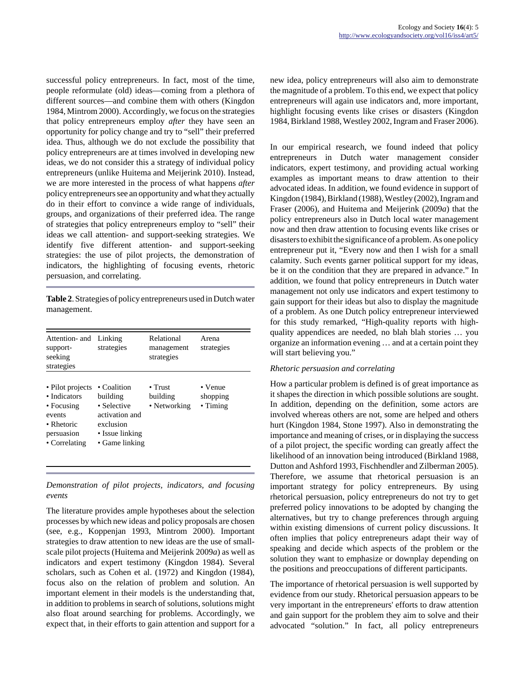successful policy entrepreneurs. In fact, most of the time, people reformulate (old) ideas—coming from a plethora of different sources—and combine them with others (Kingdon 1984, Mintrom 2000). Accordingly, we focus on the strategies that policy entrepreneurs employ *after* they have seen an opportunity for policy change and try to "sell" their preferred idea. Thus, although we do not exclude the possibility that policy entrepreneurs are at times involved in developing new ideas, we do not consider this a strategy of individual policy entrepreneurs (unlike Huitema and Meijerink 2010). Instead, we are more interested in the process of what happens *after* policy entrepreneurs see an opportunity and what they actually do in their effort to convince a wide range of individuals, groups, and organizations of their preferred idea. The range of strategies that policy entrepreneurs employ to "sell" their ideas we call attention- and support-seeking strategies. We identify five different attention- and support-seeking strategies: the use of pilot projects, the demonstration of indicators, the highlighting of focusing events, rhetoric persuasion, and correlating.

**Table 2**. Strategies of policy entrepreneurs used in Dutch water management.

| Attention- and<br>support-<br>seeking<br>strategies                                                   | Linking<br>strategies                                                                                      | Relational<br>management<br>strategies      | Arena<br>strategies                             |
|-------------------------------------------------------------------------------------------------------|------------------------------------------------------------------------------------------------------------|---------------------------------------------|-------------------------------------------------|
| • Pilot projects<br>• Indicators<br>• Focusing<br>events<br>• Rhetoric<br>persuasion<br>• Correlating | • Coalition<br>building<br>• Selective<br>activation and<br>exclusion<br>• Issue linking<br>• Game linking | $\bullet$ Trust<br>building<br>• Networking | $\bullet$ Venue<br>shopping<br>$\bullet$ Timing |

*Demonstration of pilot projects, indicators, and focusing events*

The literature provides ample hypotheses about the selection processes by which new ideas and policy proposals are chosen (see, e.g., Koppenjan 1993, Mintrom 2000). Important strategies to draw attention to new ideas are the use of smallscale pilot projects (Huitema and Meijerink 2009*a*) as well as indicators and expert testimony (Kingdon 1984). Several scholars, such as Cohen et al. (1972) and Kingdon (1984), focus also on the relation of problem and solution. An important element in their models is the understanding that, in addition to problems in search of solutions, solutions might also float around searching for problems. Accordingly, we expect that, in their efforts to gain attention and support for a new idea, policy entrepreneurs will also aim to demonstrate the magnitude of a problem. To this end, we expect that policy entrepreneurs will again use indicators and, more important, highlight focusing events like crises or disasters (Kingdon 1984, Birkland 1988, Westley 2002, Ingram and Fraser 2006).

In our empirical research, we found indeed that policy entrepreneurs in Dutch water management consider indicators, expert testimony, and providing actual working examples as important means to draw attention to their advocated ideas. In addition, we found evidence in support of Kingdon (1984), Birkland (1988), Westley (2002), Ingram and Fraser (2006), and Huitema and Meijerink (2009*a*) that the policy entrepreneurs also in Dutch local water management now and then draw attention to focusing events like crises or disasters to exhibit the significance of a problem. As one policy entrepreneur put it, "Every now and then I wish for a small calamity. Such events garner political support for my ideas, be it on the condition that they are prepared in advance." In addition, we found that policy entrepreneurs in Dutch water management not only use indicators and expert testimony to gain support for their ideas but also to display the magnitude of a problem. As one Dutch policy entrepreneur interviewed for this study remarked, "High-quality reports with highquality appendices are needed, no blah blah stories … you organize an information evening … and at a certain point they will start believing you."

#### *Rhetoric persuasion and correlating*

How a particular problem is defined is of great importance as it shapes the direction in which possible solutions are sought. In addition, depending on the definition, some actors are involved whereas others are not, some are helped and others hurt (Kingdon 1984, Stone 1997). Also in demonstrating the importance and meaning of crises, or in displaying the success of a pilot project, the specific wording can greatly affect the likelihood of an innovation being introduced (Birkland 1988, Dutton and Ashford 1993, Fischhendler and Zilberman 2005). Therefore, we assume that rhetorical persuasion is an important strategy for policy entrepreneurs. By using rhetorical persuasion, policy entrepreneurs do not try to get preferred policy innovations to be adopted by changing the alternatives, but try to change preferences through arguing within existing dimensions of current policy discussions. It often implies that policy entrepreneurs adapt their way of speaking and decide which aspects of the problem or the solution they want to emphasize or downplay depending on the positions and preoccupations of different participants.

The importance of rhetorical persuasion is well supported by evidence from our study. Rhetorical persuasion appears to be very important in the entrepreneurs' efforts to draw attention and gain support for the problem they aim to solve and their advocated "solution." In fact, all policy entrepreneurs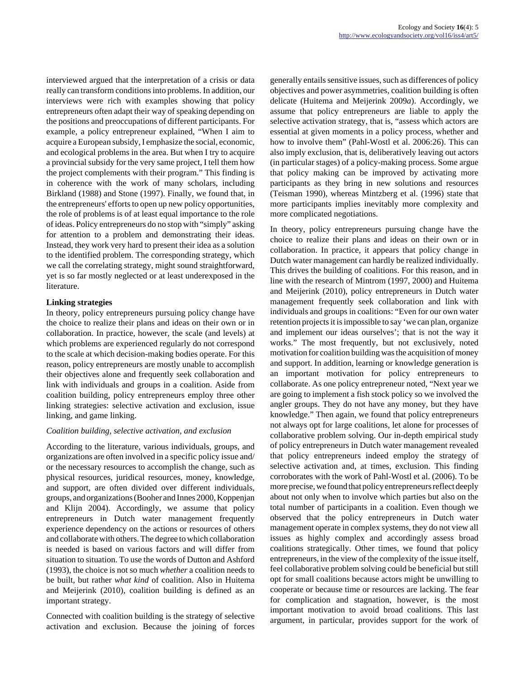interviewed argued that the interpretation of a crisis or data really can transform conditions into problems. In addition, our interviews were rich with examples showing that policy entrepreneurs often adapt their way of speaking depending on the positions and preoccupations of different participants. For example, a policy entrepreneur explained, "When I aim to acquire a European subsidy, I emphasize the social, economic, and ecological problems in the area. But when I try to acquire a provincial subsidy for the very same project, I tell them how the project complements with their program." This finding is in coherence with the work of many scholars, including Birkland (1988) and Stone (1997). Finally, we found that, in the entrepreneurs' efforts to open up new policy opportunities, the role of problems is of at least equal importance to the role of ideas. Policy entrepreneurs do no stop with "simply" asking for attention to a problem and demonstrating their ideas. Instead, they work very hard to present their idea as a solution to the identified problem. The corresponding strategy, which we call the correlating strategy, might sound straightforward, yet is so far mostly neglected or at least underexposed in the literature.

# **Linking strategies**

In theory, policy entrepreneurs pursuing policy change have the choice to realize their plans and ideas on their own or in collaboration. In practice, however, the scale (and levels) at which problems are experienced regularly do not correspond to the scale at which decision-making bodies operate. For this reason, policy entrepreneurs are mostly unable to accomplish their objectives alone and frequently seek collaboration and link with individuals and groups in a coalition. Aside from coalition building, policy entrepreneurs employ three other linking strategies: selective activation and exclusion, issue linking, and game linking.

#### *Coalition building, selective activation, and exclusion*

According to the literature, various individuals, groups, and organizations are often involved in a specific policy issue and/ or the necessary resources to accomplish the change, such as physical resources, juridical resources, money, knowledge, and support, are often divided over different individuals, groups, and organizations (Booher and Innes 2000, Koppenjan and Klijn 2004). Accordingly, we assume that policy entrepreneurs in Dutch water management frequently experience dependency on the actions or resources of others and collaborate with others. The degree to which collaboration is needed is based on various factors and will differ from situation to situation. To use the words of Dutton and Ashford (1993), the choice is not so much *whether* a coalition needs to be built, but rather *what kind* of coalition. Also in Huitema and Meijerink (2010), coalition building is defined as an important strategy.

Connected with coalition building is the strategy of selective activation and exclusion. Because the joining of forces generally entails sensitive issues, such as differences of policy objectives and power asymmetries, coalition building is often delicate (Huitema and Meijerink 2009*a*). Accordingly, we assume that policy entrepreneurs are liable to apply the selective activation strategy, that is, "assess which actors are essential at given moments in a policy process, whether and how to involve them" (Pahl-Wostl et al. 2006:26). This can also imply exclusion, that is, deliberatively leaving out actors (in particular stages) of a policy-making process. Some argue that policy making can be improved by activating more participants as they bring in new solutions and resources (Teisman 1990), whereas Mintzberg et al. (1996) state that more participants implies inevitably more complexity and more complicated negotiations.

In theory, policy entrepreneurs pursuing change have the choice to realize their plans and ideas on their own or in collaboration. In practice, it appears that policy change in Dutch water management can hardly be realized individually. This drives the building of coalitions. For this reason, and in line with the research of Mintrom (1997, 2000) and Huitema and Meijerink (2010), policy entrepreneurs in Dutch water management frequently seek collaboration and link with individuals and groups in coalitions: "Even for our own water retention projects it is impossible to say 'we can plan, organize and implement our ideas ourselves'; that is not the way it works." The most frequently, but not exclusively, noted motivation for coalition building was the acquisition of money and support. In addition, learning or knowledge generation is an important motivation for policy entrepreneurs to collaborate. As one policy entrepreneur noted, "Next year we are going to implement a fish stock policy so we involved the angler groups. They do not have any money, but they have knowledge." Then again, we found that policy entrepreneurs not always opt for large coalitions, let alone for processes of collaborative problem solving. Our in-depth empirical study of policy entrepreneurs in Dutch water management revealed that policy entrepreneurs indeed employ the strategy of selective activation and, at times, exclusion. This finding corroborates with the work of Pahl-Wostl et al. (2006). To be more precise, we found that policy entrepreneurs reflect deeply about not only when to involve which parties but also on the total number of participants in a coalition. Even though we observed that the policy entrepreneurs in Dutch water management operate in complex systems, they do not view all issues as highly complex and accordingly assess broad coalitions strategically. Other times, we found that policy entrepreneurs, in the view of the complexity of the issue itself, feel collaborative problem solving could be beneficial but still opt for small coalitions because actors might be unwilling to cooperate or because time or resources are lacking. The fear for complication and stagnation, however, is the most important motivation to avoid broad coalitions. This last argument, in particular, provides support for the work of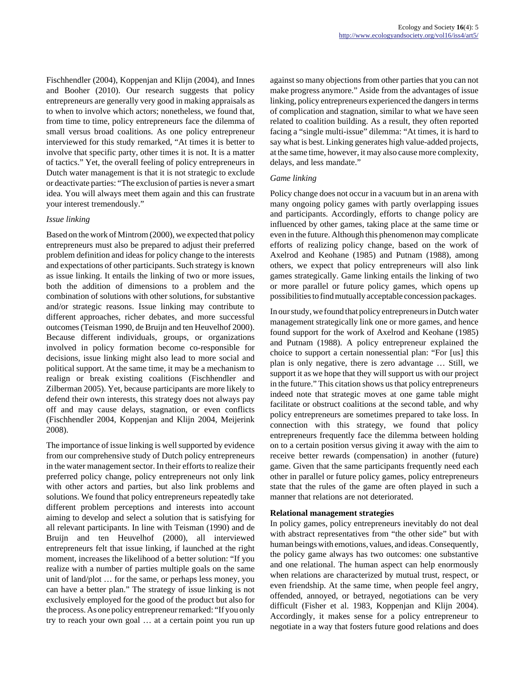Fischhendler (2004), Koppenjan and Klijn (2004), and Innes and Booher (2010). Our research suggests that policy entrepreneurs are generally very good in making appraisals as to when to involve which actors; nonetheless, we found that, from time to time, policy entrepreneurs face the dilemma of small versus broad coalitions. As one policy entrepreneur interviewed for this study remarked, "At times it is better to involve that specific party, other times it is not. It is a matter of tactics." Yet, the overall feeling of policy entrepreneurs in Dutch water management is that it is not strategic to exclude or deactivate parties: "The exclusion of parties is never a smart idea. You will always meet them again and this can frustrate your interest tremendously."

# *Issue linking*

Based on the work of Mintrom (2000), we expected that policy entrepreneurs must also be prepared to adjust their preferred problem definition and ideas for policy change to the interests and expectations of other participants. Such strategy is known as issue linking. It entails the linking of two or more issues, both the addition of dimensions to a problem and the combination of solutions with other solutions, for substantive and/or strategic reasons. Issue linking may contribute to different approaches, richer debates, and more successful outcomes (Teisman 1990, de Bruijn and ten Heuvelhof 2000). Because different individuals, groups, or organizations involved in policy formation become co-responsible for decisions, issue linking might also lead to more social and political support. At the same time, it may be a mechanism to realign or break existing coalitions (Fischhendler and Zilberman 2005). Yet, because participants are more likely to defend their own interests, this strategy does not always pay off and may cause delays, stagnation, or even conflicts (Fischhendler 2004, Koppenjan and Klijn 2004, Meijerink 2008).

The importance of issue linking is well supported by evidence from our comprehensive study of Dutch policy entrepreneurs in the water management sector. In their efforts to realize their preferred policy change, policy entrepreneurs not only link with other actors and parties, but also link problems and solutions. We found that policy entrepreneurs repeatedly take different problem perceptions and interests into account aiming to develop and select a solution that is satisfying for all relevant participants. In line with Teisman (1990) and de Bruijn and ten Heuvelhof (2000), all interviewed entrepreneurs felt that issue linking, if launched at the right moment, increases the likelihood of a better solution: "If you realize with a number of parties multiple goals on the same unit of land/plot … for the same, or perhaps less money, you can have a better plan." The strategy of issue linking is not exclusively employed for the good of the product but also for the process. As one policy entrepreneur remarked: "If you only try to reach your own goal … at a certain point you run up against so many objections from other parties that you can not make progress anymore." Aside from the advantages of issue linking, policy entrepreneurs experienced the dangers in terms of complication and stagnation, similar to what we have seen related to coalition building. As a result, they often reported facing a "single multi-issue" dilemma: "At times, it is hard to say what is best. Linking generates high value-added projects, at the same time, however, it may also cause more complexity, delays, and less mandate."

# *Game linking*

Policy change does not occur in a vacuum but in an arena with many ongoing policy games with partly overlapping issues and participants. Accordingly, efforts to change policy are influenced by other games, taking place at the same time or even in the future. Although this phenomenon may complicate efforts of realizing policy change, based on the work of Axelrod and Keohane (1985) and Putnam (1988), among others, we expect that policy entrepreneurs will also link games strategically. Game linking entails the linking of two or more parallel or future policy games, which opens up possibilities to find mutually acceptable concession packages.

In our study, we found that policy entrepreneurs in Dutch water management strategically link one or more games, and hence found support for the work of Axelrod and Keohane (1985) and Putnam (1988). A policy entrepreneur explained the choice to support a certain nonessential plan: "For [us] this plan is only negative, there is zero advantage … Still, we support it as we hope that they will support us with our project in the future." This citation shows us that policy entrepreneurs indeed note that strategic moves at one game table might facilitate or obstruct coalitions at the second table, and why policy entrepreneurs are sometimes prepared to take loss. In connection with this strategy, we found that policy entrepreneurs frequently face the dilemma between holding on to a certain position versus giving it away with the aim to receive better rewards (compensation) in another (future) game. Given that the same participants frequently need each other in parallel or future policy games, policy entrepreneurs state that the rules of the game are often played in such a manner that relations are not deteriorated.

#### **Relational management strategies**

In policy games, policy entrepreneurs inevitably do not deal with abstract representatives from "the other side" but with human beings with emotions, values, and ideas. Consequently, the policy game always has two outcomes: one substantive and one relational. The human aspect can help enormously when relations are characterized by mutual trust, respect, or even friendship. At the same time, when people feel angry, offended, annoyed, or betrayed, negotiations can be very difficult (Fisher et al. 1983, Koppenjan and Klijn 2004). Accordingly, it makes sense for a policy entrepreneur to negotiate in a way that fosters future good relations and does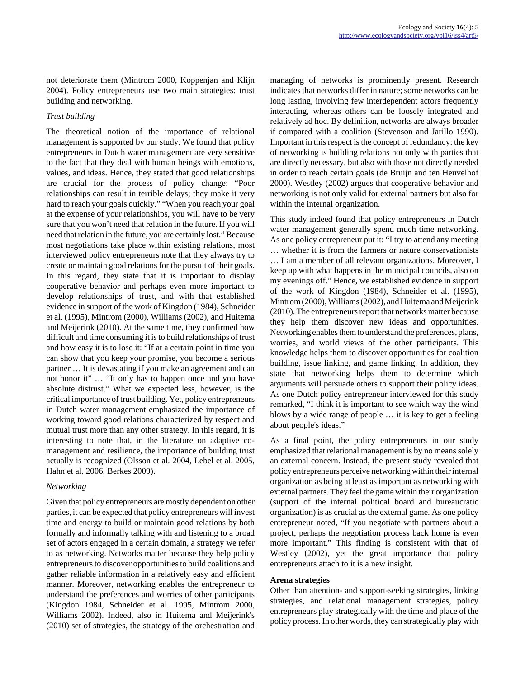not deteriorate them (Mintrom 2000, Koppenjan and Klijn 2004). Policy entrepreneurs use two main strategies: trust building and networking.

#### *Trust building*

The theoretical notion of the importance of relational management is supported by our study. We found that policy entrepreneurs in Dutch water management are very sensitive to the fact that they deal with human beings with emotions, values, and ideas. Hence, they stated that good relationships are crucial for the process of policy change: "Poor relationships can result in terrible delays; they make it very hard to reach your goals quickly." "When you reach your goal at the expense of your relationships, you will have to be very sure that you won't need that relation in the future. If you will need that relation in the future, you are certainly lost." Because most negotiations take place within existing relations, most interviewed policy entrepreneurs note that they always try to create or maintain good relations for the pursuit of their goals. In this regard, they state that it is important to display cooperative behavior and perhaps even more important to develop relationships of trust, and with that established evidence in support of the work of Kingdon (1984), Schneider et al. (1995), Mintrom (2000), Williams (2002), and Huitema and Meijerink (2010). At the same time, they confirmed how difficult and time consuming it is to build relationships of trust and how easy it is to lose it: "If at a certain point in time you can show that you keep your promise, you become a serious partner … It is devastating if you make an agreement and can not honor it" … "It only has to happen once and you have absolute distrust." What we expected less, however, is the critical importance of trust building. Yet, policy entrepreneurs in Dutch water management emphasized the importance of working toward good relations characterized by respect and mutual trust more than any other strategy. In this regard, it is interesting to note that, in the literature on adaptive comanagement and resilience, the importance of building trust actually is recognized (Olsson et al. 2004, Lebel et al. 2005, Hahn et al. 2006, Berkes 2009).

#### *Networking*

Given that policy entrepreneurs are mostly dependent on other parties, it can be expected that policy entrepreneurs will invest time and energy to build or maintain good relations by both formally and informally talking with and listening to a broad set of actors engaged in a certain domain, a strategy we refer to as networking. Networks matter because they help policy entrepreneurs to discover opportunities to build coalitions and gather reliable information in a relatively easy and efficient manner. Moreover, networking enables the entrepreneur to understand the preferences and worries of other participants (Kingdon 1984, Schneider et al. 1995, Mintrom 2000, Williams 2002). Indeed, also in Huitema and Meijerink's (2010) set of strategies, the strategy of the orchestration and managing of networks is prominently present. Research indicates that networks differ in nature; some networks can be long lasting, involving few interdependent actors frequently interacting, whereas others can be loosely integrated and relatively ad hoc. By definition, networks are always broader if compared with a coalition (Stevenson and Jarillo 1990). Important in this respect is the concept of redundancy: the key of networking is building relations not only with parties that are directly necessary, but also with those not directly needed in order to reach certain goals (de Bruijn and ten Heuvelhof 2000). Westley (2002) argues that cooperative behavior and networking is not only valid for external partners but also for within the internal organization.

This study indeed found that policy entrepreneurs in Dutch water management generally spend much time networking. As one policy entrepreneur put it: "I try to attend any meeting … whether it is from the farmers or nature conservationists … I am a member of all relevant organizations. Moreover, I keep up with what happens in the municipal councils, also on my evenings off." Hence, we established evidence in support of the work of Kingdon (1984), Schneider et al. (1995), Mintrom (2000), Williams (2002), and Huitema and Meijerink (2010). The entrepreneurs report that networks matter because they help them discover new ideas and opportunities. Networking enables them to understand the preferences, plans, worries, and world views of the other participants. This knowledge helps them to discover opportunities for coalition building, issue linking, and game linking. In addition, they state that networking helps them to determine which arguments will persuade others to support their policy ideas. As one Dutch policy entrepreneur interviewed for this study remarked, "I think it is important to see which way the wind blows by a wide range of people … it is key to get a feeling about people's ideas."

As a final point, the policy entrepreneurs in our study emphasized that relational management is by no means solely an external concern. Instead, the present study revealed that policy entrepreneurs perceive networking within their internal organization as being at least as important as networking with external partners. They feel the game within their organization (support of the internal political board and bureaucratic organization) is as crucial as the external game. As one policy entrepreneur noted, "If you negotiate with partners about a project, perhaps the negotiation process back home is even more important." This finding is consistent with that of Westley (2002), yet the great importance that policy entrepreneurs attach to it is a new insight.

#### **Arena strategies**

Other than attention- and support-seeking strategies, linking strategies, and relational management strategies, policy entrepreneurs play strategically with the time and place of the policy process. In other words, they can strategically play with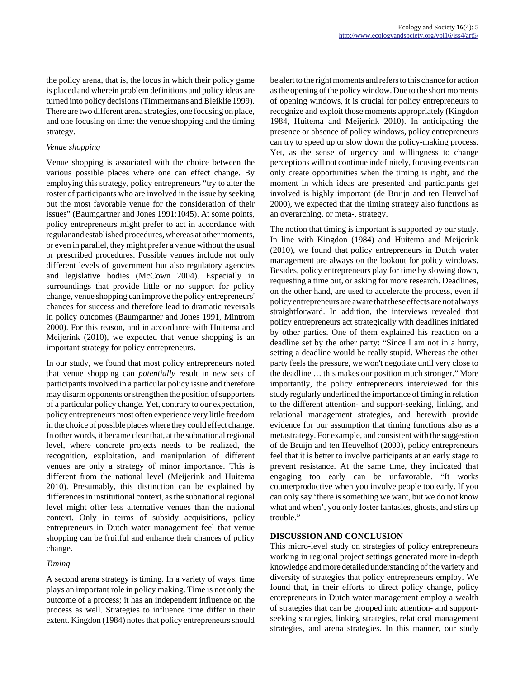the policy arena, that is, the locus in which their policy game is placed and wherein problem definitions and policy ideas are turned into policy decisions (Timmermans and Bleiklie 1999). There are two different arena strategies, one focusing on place, and one focusing on time: the venue shopping and the timing strategy.

# *Venue shopping*

Venue shopping is associated with the choice between the various possible places where one can effect change. By employing this strategy, policy entrepreneurs "try to alter the roster of participants who are involved in the issue by seeking out the most favorable venue for the consideration of their issues" (Baumgartner and Jones 1991:1045). At some points, policy entrepreneurs might prefer to act in accordance with regular and established procedures, whereas at other moments, or even in parallel, they might prefer a venue without the usual or prescribed procedures. Possible venues include not only different levels of government but also regulatory agencies and legislative bodies (McCown 2004). Especially in surroundings that provide little or no support for policy change, venue shopping can improve the policy entrepreneurs' chances for success and therefore lead to dramatic reversals in policy outcomes (Baumgartner and Jones 1991, Mintrom 2000). For this reason, and in accordance with Huitema and Meijerink (2010), we expected that venue shopping is an important strategy for policy entrepreneurs.

In our study, we found that most policy entrepreneurs noted that venue shopping can *potentially* result in new sets of participants involved in a particular policy issue and therefore may disarm opponents or strengthen the position of supporters of a particular policy change. Yet, contrary to our expectation, policy entrepreneurs most often experience very little freedom in the choice of possible places where they could effect change. In other words, it became clear that, at the subnational regional level, where concrete projects needs to be realized, the recognition, exploitation, and manipulation of different venues are only a strategy of minor importance. This is different from the national level (Meijerink and Huitema 2010). Presumably, this distinction can be explained by differences in institutional context, as the subnational regional level might offer less alternative venues than the national context. Only in terms of subsidy acquisitions, policy entrepreneurs in Dutch water management feel that venue shopping can be fruitful and enhance their chances of policy change.

# *Timing*

A second arena strategy is timing. In a variety of ways, time plays an important role in policy making. Time is not only the outcome of a process; it has an independent influence on the process as well. Strategies to influence time differ in their extent. Kingdon (1984) notes that policy entrepreneurs should be alert to the right moments and refers to this chance for action as the opening of the policy window. Due to the short moments of opening windows, it is crucial for policy entrepreneurs to recognize and exploit those moments appropriately (Kingdon 1984, Huitema and Meijerink 2010). In anticipating the presence or absence of policy windows, policy entrepreneurs can try to speed up or slow down the policy-making process. Yet, as the sense of urgency and willingness to change perceptions will not continue indefinitely, focusing events can only create opportunities when the timing is right, and the moment in which ideas are presented and participants get involved is highly important (de Bruijn and ten Heuvelhof 2000), we expected that the timing strategy also functions as an overarching, or meta-, strategy.

The notion that timing is important is supported by our study. In line with Kingdon (1984) and Huitema and Meijerink (2010), we found that policy entrepreneurs in Dutch water management are always on the lookout for policy windows. Besides, policy entrepreneurs play for time by slowing down, requesting a time out, or asking for more research. Deadlines, on the other hand, are used to accelerate the process, even if policy entrepreneurs are aware that these effects are not always straightforward. In addition, the interviews revealed that policy entrepreneurs act strategically with deadlines initiated by other parties. One of them explained his reaction on a deadline set by the other party: "Since I am not in a hurry, setting a deadline would be really stupid. Whereas the other party feels the pressure, we won't negotiate until very close to the deadline … this makes our position much stronger." More importantly, the policy entrepreneurs interviewed for this study regularly underlined the importance of timing in relation to the different attention- and support-seeking, linking, and relational management strategies, and herewith provide evidence for our assumption that timing functions also as a metastrategy. For example, and consistent with the suggestion of de Bruijn and ten Heuvelhof (2000), policy entrepreneurs feel that it is better to involve participants at an early stage to prevent resistance. At the same time, they indicated that engaging too early can be unfavorable. "It works counterproductive when you involve people too early. If you can only say 'there is something we want, but we do not know what and when', you only foster fantasies, ghosts, and stirs up trouble."

# **DISCUSSION AND CONCLUSION**

This micro-level study on strategies of policy entrepreneurs working in regional project settings generated more in-depth knowledge and more detailed understanding of the variety and diversity of strategies that policy entrepreneurs employ. We found that, in their efforts to direct policy change, policy entrepreneurs in Dutch water management employ a wealth of strategies that can be grouped into attention- and supportseeking strategies, linking strategies, relational management strategies, and arena strategies. In this manner, our study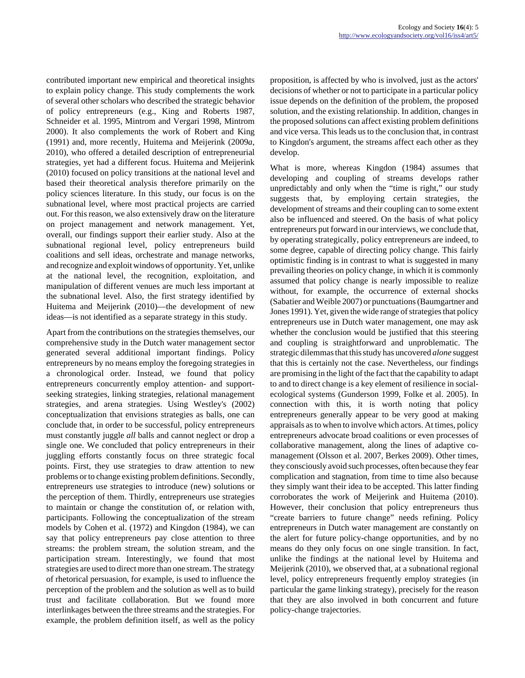contributed important new empirical and theoretical insights to explain policy change. This study complements the work of several other scholars who described the strategic behavior of policy entrepreneurs (e.g., King and Roberts 1987, Schneider et al. 1995, Mintrom and Vergari 1998, Mintrom 2000). It also complements the work of Robert and King (1991) and, more recently, Huitema and Meijerink (2009*a*, 2010), who offered a detailed description of entrepreneurial strategies, yet had a different focus. Huitema and Meijerink (2010) focused on policy transitions at the national level and based their theoretical analysis therefore primarily on the policy sciences literature. In this study, our focus is on the subnational level, where most practical projects are carried out. For this reason, we also extensively draw on the literature on project management and network management. Yet, overall, our findings support their earlier study. Also at the subnational regional level, policy entrepreneurs build coalitions and sell ideas, orchestrate and manage networks, and recognize and exploit windows of opportunity. Yet, unlike at the national level, the recognition, exploitation, and manipulation of different venues are much less important at the subnational level. Also, the first strategy identified by Huitema and Meijerink (2010)—the development of new ideas—is not identified as a separate strategy in this study.

Apart from the contributions on the strategies themselves, our comprehensive study in the Dutch water management sector generated several additional important findings. Policy entrepreneurs by no means employ the foregoing strategies in a chronological order. Instead, we found that policy entrepreneurs concurrently employ attention- and supportseeking strategies, linking strategies, relational management strategies, and arena strategies. Using Westley's (2002) conceptualization that envisions strategies as balls, one can conclude that, in order to be successful, policy entrepreneurs must constantly juggle *all* balls and cannot neglect or drop a single one. We concluded that policy entrepreneurs in their juggling efforts constantly focus on three strategic focal points. First, they use strategies to draw attention to new problems or to change existing problem definitions. Secondly, entrepreneurs use strategies to introduce (new) solutions or the perception of them. Thirdly, entrepreneurs use strategies to maintain or change the constitution of, or relation with, participants. Following the conceptualization of the stream models by Cohen et al. (1972) and Kingdon (1984), we can say that policy entrepreneurs pay close attention to three streams: the problem stream, the solution stream, and the participation stream. Interestingly, we found that most strategies are used to direct more than one stream. The strategy of rhetorical persuasion, for example, is used to influence the perception of the problem and the solution as well as to build trust and facilitate collaboration. But we found more interlinkages between the three streams and the strategies. For example, the problem definition itself, as well as the policy proposition, is affected by who is involved, just as the actors' decisions of whether or not to participate in a particular policy issue depends on the definition of the problem, the proposed solution, and the existing relationship. In addition, changes in the proposed solutions can affect existing problem definitions and vice versa. This leads us to the conclusion that, in contrast to Kingdon's argument, the streams affect each other as they develop.

What is more, whereas Kingdon (1984) assumes that developing and coupling of streams develops rather unpredictably and only when the "time is right," our study suggests that, by employing certain strategies, the development of streams and their coupling can to some extent also be influenced and steered. On the basis of what policy entrepreneurs put forward in our interviews, we conclude that, by operating strategically, policy entrepreneurs are indeed, to some degree, capable of directing policy change. This fairly optimistic finding is in contrast to what is suggested in many prevailing theories on policy change, in which it is commonly assumed that policy change is nearly impossible to realize without, for example, the occurrence of external shocks (Sabatier and Weible 2007) or punctuations (Baumgartner and Jones 1991). Yet, given the wide range of strategies that policy entrepreneurs use in Dutch water management, one may ask whether the conclusion would be justified that this steering and coupling is straightforward and unproblematic. The strategic dilemmas that this study has uncovered *alone* suggest that this is certainly not the case. Nevertheless, our findings are promising in the light of the fact that the capability to adapt to and to direct change is a key element of resilience in socialecological systems (Gunderson 1999, Folke et al. 2005). In connection with this, it is worth noting that policy entrepreneurs generally appear to be very good at making appraisals as to when to involve which actors. At times, policy entrepreneurs advocate broad coalitions or even processes of collaborative management, along the lines of adaptive comanagement (Olsson et al. 2007, Berkes 2009). Other times, they consciously avoid such processes, often because they fear complication and stagnation, from time to time also because they simply want their idea to be accepted. This latter finding corroborates the work of Meijerink and Huitema (2010). However, their conclusion that policy entrepreneurs thus "create barriers to future change" needs refining. Policy entrepreneurs in Dutch water management are constantly on the alert for future policy-change opportunities, and by no means do they only focus on one single transition. In fact, unlike the findings at the national level by Huitema and Meijerink (2010), we observed that, at a subnational regional level, policy entrepreneurs frequently employ strategies (in particular the game linking strategy), precisely for the reason that they are also involved in both concurrent and future policy-change trajectories.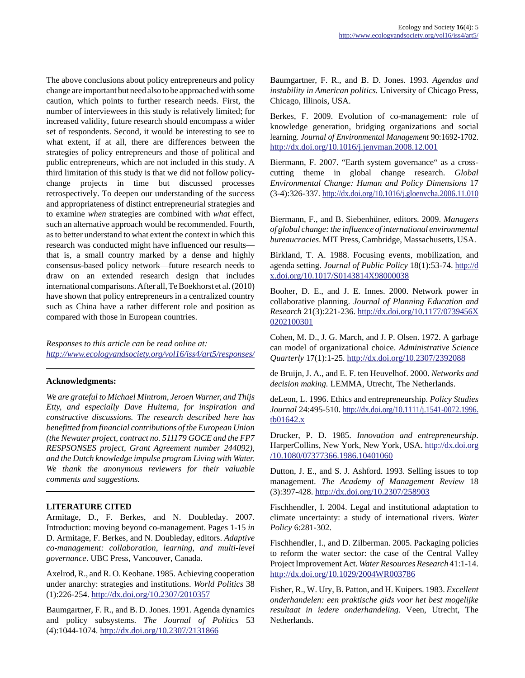The above conclusions about policy entrepreneurs and policy change are important but need also to be approached with some caution, which points to further research needs. First, the number of interviewees in this study is relatively limited; for increased validity, future research should encompass a wider set of respondents. Second, it would be interesting to see to what extent, if at all, there are differences between the strategies of policy entrepreneurs and those of political and public entrepreneurs, which are not included in this study. A third limitation of this study is that we did not follow policychange projects in time but discussed processes retrospectively. To deepen our understanding of the success and appropriateness of distinct entrepreneurial strategies and to examine *when* strategies are combined with *what* effect, such an alternative approach would be recommended. Fourth, as to better understand to what extent the context in which this research was conducted might have influenced our results that is, a small country marked by a dense and highly consensus-based policy network—future research needs to draw on an extended research design that includes international comparisons. After all, Te Boekhorst et al. (2010) have shown that policy entrepreneurs in a centralized country such as China have a rather different role and position as compared with those in European countries.

*Responses to this article can be read online at: <http://www.ecologyandsociety.org/vol16/iss4/art5/responses/>*

#### **Acknowledgments:**

*We are grateful to Michael Mintrom, Jeroen Warner, and Thijs Etty, and especially Dave Huitema, for inspiration and constructive discussions. The research described here has benefitted from financial contributions of the European Union (the Newater project, contract no. 511179 GOCE and the FP7 RESPSONSES project, Grant Agreement number 244092), and the Dutch knowledge impulse program Living with Water. We thank the anonymous reviewers for their valuable comments and suggestions.*

#### **LITERATURE CITED**

Armitage, D., F. Berkes, and N. Doubleday. 2007. Introduction: moving beyond co-management. Pages 1-15 *in* D. Armitage, F. Berkes, and N. Doubleday, editors. *Adaptive co-management: collaboration, learning, and multi-level governance*. UBC Press, Vancouver, Canada.

Axelrod, R., and R. O. Keohane. 1985. Achieving cooperation under anarchy: strategies and institutions. *World Politics* 38 (1):226-254. <http://dx.doi.org/10.2307/2010357>

Baumgartner, F. R., and B. D. Jones. 1991. Agenda dynamics and policy subsystems. *The Journal of Politics* 53 (4):1044-1074. <http://dx.doi.org/10.2307/2131866>

Baumgartner, F. R., and B. D. Jones. 1993. *Agendas and instability in American politics.* University of Chicago Press, Chicago, Illinois, USA.

Berkes, F. 2009. Evolution of co-management: role of knowledge generation, bridging organizations and social learning. *Journal of Environmental Management* 90:1692-1702. <http://dx.doi.org/10.1016/j.jenvman.2008.12.001>

Biermann, F. 2007. "Earth system governance" as a crosscutting theme in global change research. *Global Environmental Change: Human and Policy Dimensions* 17 (3-4):326-337.<http://dx.doi.org/10.1016/j.gloenvcha.2006.11.010>

Biermann, F., and B. Siebenhüner, editors. 2009. *Managers of global change: the influence of international environmental bureaucracies*. MIT Press, Cambridge, Massachusetts, USA.

Birkland, T. A. 1988. Focusing events, mobilization, and agenda setting. *Journal of Public Policy* 18(1):53-74. [http://d](http://dx.doi.org/10.1017/S0143814X98000038) [x.doi.org/10.1017/S0143814X98000038](http://dx.doi.org/10.1017/S0143814X98000038)

Booher, D. E., and J. E. Innes. 2000. Network power in collaborative planning. *Journal of Planning Education and Research* 21(3):221-236. [http://dx.doi.org/10.1177/0739456X](http://dx.doi.org/10.1177/0739456X0202100301) [0202100301](http://dx.doi.org/10.1177/0739456X0202100301)

Cohen, M. D., J. G. March, and J. P. Olsen. 1972. A garbage can model of organizational choice. *Administrative Science Quarterly* 17(1):1-25. <http://dx.doi.org/10.2307/2392088>

de Bruijn, J. A., and E. F. ten Heuvelhof. 2000. *Networks and decision making.* LEMMA, Utrecht, The Netherlands.

deLeon, L. 1996. Ethics and entrepreneurship. *Policy Studies Journal* 24:495-510. [http://dx.doi.org/10.1111/j.1541-0072.1996.](http://dx.doi.org/10.1111/j.1541-0072.1996.tb01642.x) [tb01642.x](http://dx.doi.org/10.1111/j.1541-0072.1996.tb01642.x)

Drucker, P. D. 1985. *Innovation and entrepreneurship*. HarperCollins, New York, New York, USA. [http://dx.doi.org](http://dx.doi.org/10.1080/07377366.1986.10401060) [/10.1080/07377366.1986.10401060](http://dx.doi.org/10.1080/07377366.1986.10401060)

Dutton, J. E., and S. J. Ashford. 1993. Selling issues to top management. *The Academy of Management Review* 18 (3):397-428. <http://dx.doi.org/10.2307/258903>

Fischhendler, I. 2004. Legal and institutional adaptation to climate uncertainty: a study of international rivers. *Water Policy* 6:281-302.

Fischhendler, I., and D. Zilberman. 2005. Packaging policies to reform the water sector: the case of the Central Valley Project Improvement Act. *Water Resources Research* 41:1-14. <http://dx.doi.org/10.1029/2004WR003786>

Fisher, R., W. Ury, B. Patton, and H. Kuipers. 1983. *Excellent onderhandelen: een praktische gids voor het best mogelijke resultaat in iedere onderhandeling.* Veen, Utrecht, The Netherlands.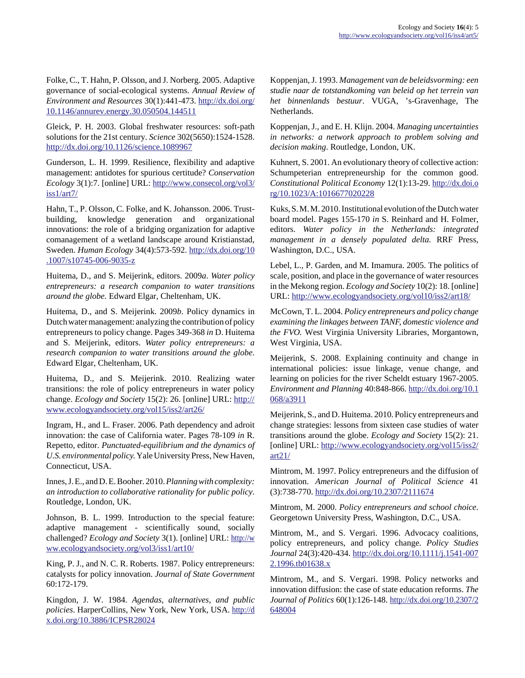Folke, C., T. Hahn, P. Olsson, and J. Norberg. 2005. Adaptive governance of social-ecological systems. *Annual Review of Environment and Resources* 30(1):441-473. [http://dx.doi.org/](http://dx.doi.org/10.1146/annurev.energy.30.050504.144511) [10.1146/annurev.energy.30.050504.144511](http://dx.doi.org/10.1146/annurev.energy.30.050504.144511)

Gleick, P. H. 2003. Global freshwater resources: soft-path solutions for the 21st century. *Science* 302(5650):1524-1528. <http://dx.doi.org/10.1126/science.1089967>

Gunderson, L. H. 1999. Resilience, flexibility and adaptive management: antidotes for spurious certitude? *Conservation Ecology* 3(1):7. [online] URL: [http://www.consecol.org/vol3/](http://www.consecol.org/vol3/iss1/art7/) [iss1/art7/](http://www.consecol.org/vol3/iss1/art7/) 

Hahn, T., P. Olsson, C. Folke, and K. Johansson. 2006. Trustbuilding, knowledge generation and organizational innovations: the role of a bridging organization for adaptive comanagement of a wetland landscape around Kristianstad, Sweden. *Human Ecology* 34(4):573-592. [http://dx.doi.org/10](http://dx.doi.org/10.1007/s10745-006-9035-z) [.1007/s10745-006-9035-z](http://dx.doi.org/10.1007/s10745-006-9035-z)

Huitema, D., and S. Meijerink, editors. 2009*a*. *Water policy entrepreneurs: a research companion to water transitions around the globe.* Edward Elgar, Cheltenham, UK.

Huitema, D., and S. Meijerink. 2009*b*. Policy dynamics in Dutch water management: analyzing the contribution of policy entrepreneurs to policy change. Pages 349-368 *in* D. Huitema and S. Meijerink, editors. *Water policy entrepreneurs: a research companion to water transitions around the globe*. Edward Elgar, Cheltenham, UK.

Huitema, D., and S. Meijerink. 2010. Realizing water transitions: the role of policy entrepreneurs in water policy change. *Ecology and Society* 15(2): 26. [online] URL: [http://](http://www.ecologyandsociety.org/vol15/iss2/art26/) [www.ecologyandsociety.org/vol15/iss2/art26/](http://www.ecologyandsociety.org/vol15/iss2/art26/)

Ingram, H., and L. Fraser. 2006. Path dependency and adroit innovation: the case of California water. Pages 78-109 *in* R. Repetto, editor. *Punctuated-equilibrium and the dynamics of U.S. environmental policy.* Yale University Press, New Haven, Connecticut, USA.

Innes, J. E., and D. E. Booher. 2010. *Planning with complexity: an introduction to collaborative rationality for public policy*. Routledge, London, UK.

Johnson, B. L. 1999. Introduction to the special feature: adaptive management - scientifically sound, socially challenged? *Ecology and Society* 3(1). [online] URL: [http://w](http://www.ecologyandsociety.org/vol3/iss1/art10/) [ww.ecologyandsociety.org/vol3/iss1/art10/](http://www.ecologyandsociety.org/vol3/iss1/art10/)

King, P. J., and N. C. R. Roberts. 1987. Policy entrepreneurs: catalysts for policy innovation. *Journal of State Government* 60:172-179.

Kingdon, J. W. 1984. *Agendas, alternatives, and public policies*. HarperCollins, New York, New York, USA. [http://d](http://dx.doi.org/10.3886/ICPSR28024) [x.doi.org/10.3886/ICPSR28024](http://dx.doi.org/10.3886/ICPSR28024)

Koppenjan, J. 1993. *Management van de beleidsvorming: een studie naar de totstandkoming van beleid op het terrein van het binnenlands bestuur*. VUGA, 's-Gravenhage, The Netherlands.

Koppenjan, J., and E. H. Klijn. 2004. *Managing uncertainties in networks: a network approach to problem solving and decision making*. Routledge, London, UK.

Kuhnert, S. 2001. An evolutionary theory of collective action: Schumpeterian entrepreneurship for the common good. *Constitutional Political Economy* 12(1):13-29. [http://dx.doi.o](http://dx.doi.org/10.1023/A:1016677020228) [rg/10.1023/A:1016677020228](http://dx.doi.org/10.1023/A:1016677020228)

Kuks, S. M. M. 2010. Institutional evolution of the Dutch water board model. Pages 155-170 *in* S. Reinhard and H. Folmer, editors. *Water policy in the Netherlands: integrated management in a densely populated delta.* RRF Press, Washington, D.C., USA.

Lebel, L., P. Garden, and M. Imamura. 2005. The politics of scale, position, and place in the governance of water resources in the Mekong region. *Ecology and Society* 10(2): 18. [online] URL:<http://www.ecologyandsociety.org/vol10/iss2/art18/>

McCown, T. L. 2004. *Policy entrepreneurs and policy change examining the linkages between TANF, domestic violence and the FVO.* West Virginia University Libraries, Morgantown, West Virginia, USA.

Meijerink, S. 2008. Explaining continuity and change in international policies: issue linkage, venue change, and learning on policies for the river Scheldt estuary 1967-2005. *Environment and Planning* 40:848-866. [http://dx.doi.org/10.1](http://dx.doi.org/10.1068/a3911) [068/a3911](http://dx.doi.org/10.1068/a3911)

Meijerink, S., and D. Huitema. 2010. Policy entrepreneurs and change strategies: lessons from sixteen case studies of water transitions around the globe. *Ecology and Society* 15(2): 21. [online] URL: [http://www.ecologyandsociety.org/vol15/iss2/](http://www.ecologyandsociety.org/vol15/iss2/art21/) [art21/](http://www.ecologyandsociety.org/vol15/iss2/art21/)

Mintrom, M. 1997. Policy entrepreneurs and the diffusion of innovation. *American Journal of Political Science* 41 (3):738-770. <http://dx.doi.org/10.2307/2111674>

Mintrom, M. 2000. *Policy entrepreneurs and school choice*. Georgetown University Press, Washington, D.C., USA.

Mintrom, M., and S. Vergari. 1996. Advocacy coalitions, policy entrepreneurs, and policy change. *Policy Studies Journal* 24(3):420-434. [http://dx.doi.org/10.1111/j.1541-007](http://dx.doi.org/10.1111/j.1541-0072.1996.tb01638.x) [2.1996.tb01638.x](http://dx.doi.org/10.1111/j.1541-0072.1996.tb01638.x)

Mintrom, M., and S. Vergari. 1998. Policy networks and innovation diffusion: the case of state education reforms. *The Journal of Politics* 60(1):126-148. [http://dx.doi.org/10.2307/2](http://dx.doi.org/10.2307/2648004) [648004](http://dx.doi.org/10.2307/2648004)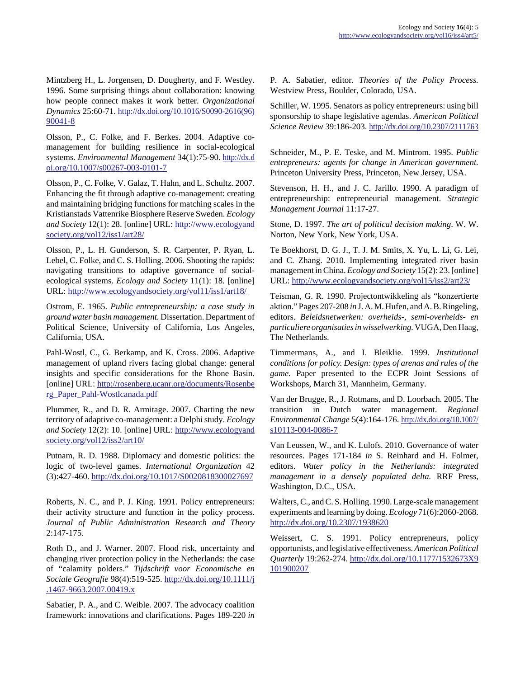Mintzberg H., L. Jorgensen, D. Dougherty, and F. Westley. 1996. Some surprising things about collaboration: knowing how people connect makes it work better. *Organizational Dynamics* 25:60-71. [http://dx.doi.org/10.1016/S0090-2616\(96\)](http://dx.doi.org/10.1016/S0090-2616(96)90041-8) [90041-8](http://dx.doi.org/10.1016/S0090-2616(96)90041-8)

Olsson, P., C. Folke, and F. Berkes. 2004. Adaptive comanagement for building resilience in social-ecological systems. *Environmental Management* 34(1):75-90. [http://dx.d](http://dx.doi.org/10.1007/s00267-003-0101-7) [oi.org/10.1007/s00267-003-0101-7](http://dx.doi.org/10.1007/s00267-003-0101-7)

Olsson, P., C. Folke, V. Galaz, T. Hahn, and L. Schultz. 2007. Enhancing the fit through adaptive co-management: creating and maintaining bridging functions for matching scales in the Kristianstads Vattenrike Biosphere Reserve Sweden. *Ecology and Society* 12(1): 28. [online] URL: [http://www.ecologyand](http://www.ecologyandsociety.org/vol12/iss1/art28/) [society.org/vol12/iss1/art28/](http://www.ecologyandsociety.org/vol12/iss1/art28/)

Olsson, P., L. H. Gunderson, S. R. Carpenter, P. Ryan, L. Lebel, C. Folke, and C. S. Holling. 2006. Shooting the rapids: navigating transitions to adaptive governance of socialecological systems. *Ecology and Society* 11(1): 18. [online] URL:<http://www.ecologyandsociety.org/vol11/iss1/art18/>

Ostrom, E. 1965. *Public entrepreneurship: a case study in ground water basin management.* Dissertation. Department of Political Science, University of California, Los Angeles, California, USA.

Pahl-Wostl, C., G. Berkamp, and K. Cross. 2006. Adaptive management of upland rivers facing global change: general insights and specific considerations for the Rhone Basin. [online] URL: [http://rosenberg.ucanr.org/documents/Rosenbe](http://rosenberg.ucanr.org/documents/Rosenberg_Paper_Pahl-Wostlcanada.pdf) [rg\\_Paper\\_Pahl-Wostlcanada.pdf](http://rosenberg.ucanr.org/documents/Rosenberg_Paper_Pahl-Wostlcanada.pdf)

Plummer, R., and D. R. Armitage. 2007. Charting the new territory of adaptive co-management: a Delphi study. *Ecology and Society* 12(2): 10. [online] URL: [http://www.ecologyand](http://www.ecologyandsociety.org/vol12/iss2/art10/) [society.org/vol12/iss2/art10/](http://www.ecologyandsociety.org/vol12/iss2/art10/)

Putnam, R. D. 1988. Diplomacy and domestic politics: the logic of two-level games. *International Organization* 42 (3):427-460. <http://dx.doi.org/10.1017/S0020818300027697>

Roberts, N. C., and P. J. King. 1991. Policy entrepreneurs: their activity structure and function in the policy process. *Journal of Public Administration Research and Theory* 2:147-175.

Roth D., and J. Warner. 2007. Flood risk, uncertainty and changing river protection policy in the Netherlands: the case of "calamity polders." *Tijdschrift voor Economische en Sociale Geografie* 98(4):519-525. [http://dx.doi.org/10.1111/j](http://dx.doi.org/10.1111/j.1467-9663.2007.00419.x) [.1467-9663.2007.00419.x](http://dx.doi.org/10.1111/j.1467-9663.2007.00419.x)

Sabatier, P. A., and C. Weible. 2007. The advocacy coalition framework: innovations and clarifications. Pages 189-220 *in* P. A. Sabatier, editor. *Theories of the Policy Process.* Westview Press, Boulder, Colorado, USA.

Schiller, W. 1995. Senators as policy entrepreneurs: using bill sponsorship to shape legislative agendas. *American Political Science Review* 39:186-203. <http://dx.doi.org/10.2307/2111763>

Schneider, M., P. E. Teske, and M. Mintrom. 1995. *Public entrepreneurs: agents for change in American government.* Princeton University Press, Princeton, New Jersey, USA.

Stevenson, H. H., and J. C. Jarillo. 1990. A paradigm of entrepreneurship: entrepreneurial management. *Strategic Management Journal* 11:17-27.

Stone, D. 1997. *The art of political decision making*. W. W. Norton, New York, New York, USA.

Te Boekhorst, D. G. J., T. J. M. Smits, X. Yu, L. Li, G. Lei, and C. Zhang. 2010. Implementing integrated river basin management in China. *Ecology and Society* 15(2): 23. [online] URL:<http://www.ecologyandsociety.org/vol15/iss2/art23/>

Teisman, G. R. 1990. Projectontwikkeling als "konzertierte aktion." Pages 207-208 *in* J. A. M. Hufen, and A. B. Ringeling, editors. *Beleidsnetwerken: overheids-, semi-overheids- en particuliere organisaties in wisselwerking.* VUGA, Den Haag, The Netherlands.

Timmermans, A., and I. Bleiklie. 1999. *Institutional conditions for policy. Design: types of arenas and rules of the game.* Paper presented to the ECPR Joint Sessions of Workshops, March 31, Mannheim, Germany.

Van der Brugge, R., J. Rotmans, and D. Loorbach. 2005. The transition in Dutch water management. *Regional Environmental Change* 5(4):164-176. [http://dx.doi.org/10.1007/](http://dx.doi.org/10.1007/s10113-004-0086-7) [s10113-004-0086-7](http://dx.doi.org/10.1007/s10113-004-0086-7)

Van Leussen, W., and K. Lulofs. 2010. Governance of water resources. Pages 171-184 *in* S. Reinhard and H. Folmer, editors. *Water policy in the Netherlands: integrated management in a densely populated delta.* RRF Press, Washington, D.C., USA.

Walters, C., and C. S. Holling. 1990. Large-scale management experiments and learning by doing. *Ecology* 71(6):2060-2068. <http://dx.doi.org/10.2307/1938620>

Weissert, C. S. 1991. Policy entrepreneurs, policy opportunists, and legislative effectiveness. *American Political Quarterly* 19:262-274. [http://dx.doi.org/10.1177/1532673X9](http://dx.doi.org/10.1177/1532673X9101900207) [101900207](http://dx.doi.org/10.1177/1532673X9101900207)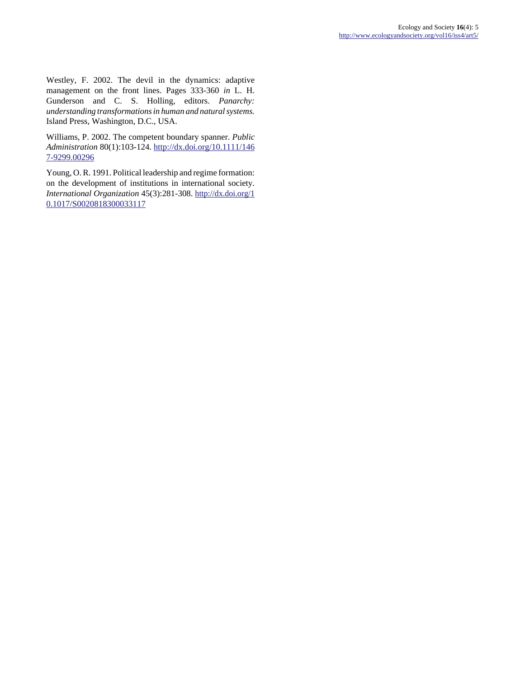Westley, F. 2002. The devil in the dynamics: adaptive management on the front lines. Pages 333-360 *in* L. H. Gunderson and C. S. Holling, editors. *Panarchy: understanding transformations in human and natural systems.* Island Press, Washington, D.C., USA.

Williams, P. 2002. The competent boundary spanner. *Public Administration* 80(1):103-124. [http://dx.doi.org/10.1111/146](http://dx.doi.org/10.1111/1467-9299.00296) [7-9299.00296](http://dx.doi.org/10.1111/1467-9299.00296)

Young, O. R. 1991. Political leadership and regime formation: on the development of institutions in international society. *International Organization* 45(3):281-308. [http://dx.doi.org/1](http://dx.doi.org/10.1017/S0020818300033117) [0.1017/S0020818300033117](http://dx.doi.org/10.1017/S0020818300033117)